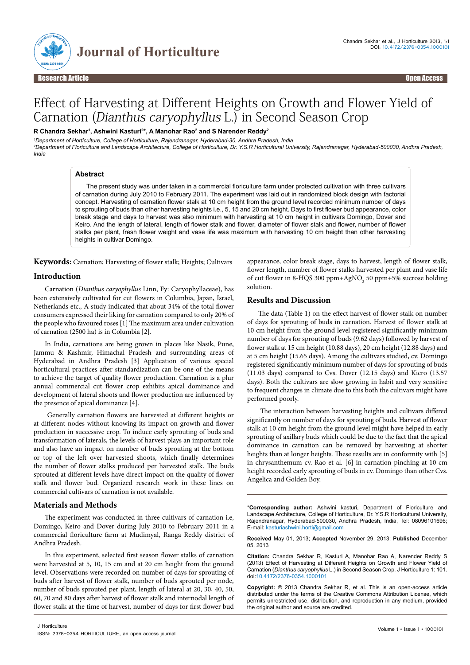

# Effect of Harvesting at Different Heights on Growth and Flower Yield of Carnation (Dianthus caryophyllus L.) in Second Season Crop

## **R Chandra Sekhar1 , Ashwini Kasturi2 \*, A Manohar Rao2 and S Narender Reddy2**

*1 Department of Horticulture, College of Horticulture, Rajendranagar, Hyderabad-30, Andhra Pradesh, India 2 Department of Floriculture and Landscape Architecture, College of Horticulture, Dr. Y.S.R Horticultural University, Rajendranagar, Hyderabad-500030, Andhra Pradesh, India*

## **Abstract**

The present study was under taken in a commercial floriculture farm under protected cultivation with three cultivars of carnation during July 2010 to February 2011. The experiment was laid out in randomized block design with factorial concept. Harvesting of carnation flower stalk at 10 cm height from the ground level recorded minimum number of days to sprouting of buds than other harvesting heights i.e., 5, 15 and 20 cm height. Days to first flower bud appearance, color break stage and days to harvest was also minimum with harvesting at 10 cm height in cultivars Domingo, Dover and Keiro. And the length of lateral, length of flower stalk and flower, diameter of flower stalk and flower, number of flower stalks per plant, fresh flower weight and vase life was maximum with harvesting 10 cm height than other harvesting heights in cultivar Domingo.

**Keywords:** Carnation; Harvesting of flower stalk; Heights; Cultivars

## **Introduction**

Carnation (*Dianthus caryophyllus* Linn, Fy: Caryophyllaceae), has been extensively cultivated for cut flowers in Columbia, Japan, Israel, Netherlands etc., A study indicated that about 34% of the total flower consumers expressed their liking for carnation compared to only 20% of the people who favoured roses [1] The maximum area under cultivation of carnation (2500 ha) is in Columbia [2].

In India, carnations are being grown in places like Nasik, Pune, Jammu & Kashmir, Himachal Pradesh and surrounding areas of Hyderabad in Andhra Pradesh [3] Application of various special horticultural practices after standardization can be one of the means to achieve the target of quality flower production. Carnation is a plur annual commercial cut flower crop exhibits apical dominance and development of lateral shoots and flower production are influenced by the presence of apical dominance [4].

 Generally carnation flowers are harvested at different heights or at different nodes without knowing its impact on growth and flower production in successive crop. To induce early sprouting of buds and transformation of laterals, the levels of harvest plays an important role and also have an impact on number of buds sprouting at the bottom or top of the left over harvested shoots, which finally determines the number of flower stalks produced per harvested stalk. The buds sprouted at different levels have direct impact on the quality of flower stalk and flower bud. Organized research work in these lines on commercial cultivars of carnation is not available.

## **Materials and Methods**

The experiment was conducted in three cultivars of carnation i.e, Domingo, Keiro and Dover during July 2010 to February 2011 in a commercial floriculture farm at Mudimyal, Ranga Reddy district of Andhra Pradesh.

In this experiment, selected first season flower stalks of carnation were harvested at 5, 10, 15 cm and at 20 cm height from the ground level. Observations were recorded on number of days for sprouting of buds after harvest of flower stalk, number of buds sprouted per node, number of buds sprouted per plant, length of lateral at 20, 30, 40, 50, 60, 70 and 80 days after harvest of flower stalk and internodal length of flower stalk at the time of harvest, number of days for first flower bud

appearance, color break stage, days to harvest, length of flower stalk, flower length, number of flower stalks harvested per plant and vase life of cut flower in 8-HQS 300 ppm+AgNO<sub>3</sub> 50 ppm+5% sucrose holding solution.

#### **Results and Discussion**

The data (Table 1) on the effect harvest of flower stalk on number of days for sprouting of buds in carnation. Harvest of flower stalk at 10 cm height from the ground level registered significantly minimum number of days for sprouting of buds (9.62 days) followed by harvest of flower stalk at 15 cm height (10.88 days), 20 cm height (12.88 days) and at 5 cm height (15.65 days). Among the cultivars studied, cv. Domingo registered significantly minimum number of days for sprouting of buds (11.03 days) compared to Cvs. Dover (12.15 days) and Kiero (13.57 days). Both the cultivars are slow growing in habit and very sensitive to frequent changes in climate due to this both the cultivars might have performed poorly.

 The interaction between harvesting heights and cultivars differed significantly on number of days for sprouting of buds. Harvest of flower stalk at 10 cm height from the ground level might have helped in early sprouting of axillary buds which could be due to the fact that the apical dominance in carnation can be removed by harvesting at shorter heights than at longer heights. These results are in conformity with [5] in chrysanthemum cv. Rao et al*.* [6] in carnation pinching at 10 cm height recorded early sprouting of buds in cv. Domingo than other Cvs. Angelica and Golden Boy.

**\*Corresponding author:** Ashwini kasturi, Department of Floriculture and Landscape Architecture, College of Horticulture, Dr. Y.S.R Horticultural University, Rajendranagar, Hyderabad-500030, Andhra Pradesh, India, Tel: 08096101696; E-mail: kasturiashwini.horti@gmail.com

**Received** May 01, 2013; **Accepted** November 29, 2013; **Published** December 05, 2013

**Citation:** Chandra Sekhar R, Kasturi A, Manohar Rao A, Narender Reddy S (2013) Effect of Harvesting at Different Heights on Growth and Flower Yield of Carnation (*Dianthus caryophyllus* L.) in Second Season Crop. J Horticulture 1: 101. doi:10.4172/2376-0354.1000101

**Copyright:** © 2013 Chandra Sekhar R, et al. This is an open-access article distributed under the terms of the Creative Commons Attribution License, which permits unrestricted use, distribution, and reproduction in any medium, provided the original author and source are credited.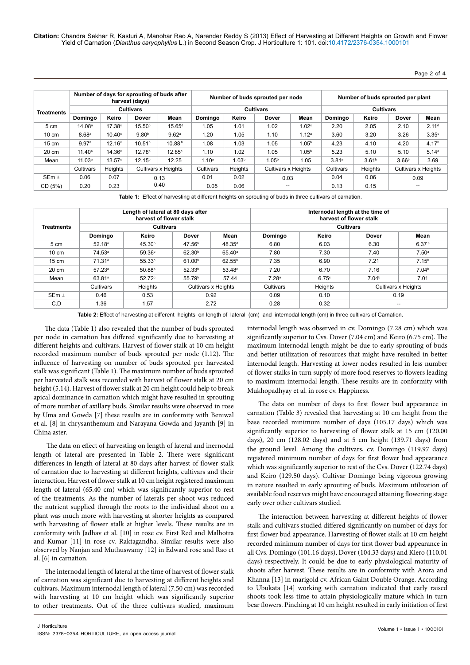**Citation:** Chandra Sekhar R, Kasturi A, Manohar Rao A, Narender Reddy S (2013) Effect of Harvesting at Different Heights on Growth and Flower Yield of Carnation (*Dianthus caryophyllus* L.) in Second Season Crop. J Horticulture 1: 101. doi:10.4172/2376-0354.1000101

Page 2 of 4

|                   |                    |                    | Number of days for sprouting of buds after<br>harvest (days) |                    |                   |                   | Number of buds sprouted per node |                   | Number of buds sprouted per plant |                   |                     |                   |  |
|-------------------|--------------------|--------------------|--------------------------------------------------------------|--------------------|-------------------|-------------------|----------------------------------|-------------------|-----------------------------------|-------------------|---------------------|-------------------|--|
| <b>Treatments</b> |                    |                    | <b>Cultivars</b>                                             |                    |                   |                   | <b>Cultivars</b>                 |                   | <b>Cultivars</b>                  |                   |                     |                   |  |
|                   | Domingo            | Keiro              | <b>Dover</b>                                                 | Mean               | Domingo           | Keiro             | <b>Dover</b>                     | Mean              | Domingo                           | Keiro             | <b>Dover</b>        | Mean              |  |
| 5 cm              | 14.08 <sup>a</sup> | 17.38c             | 15.50 <sup>b</sup>                                           | 15.65 <sup>d</sup> | 1.05              | 1.01              | 1.02                             | 1.02 <sup>c</sup> | 2.20                              | 2.05              | 2.10                | 2.11 <sup>d</sup> |  |
| $10 \text{ cm}$   | 8.68 <sup>a</sup>  | $10.40^\circ$      | 9.80 <sup>b</sup>                                            | 9.62 <sup>a</sup>  | 1.20              | 1.05              | 1.10                             | 1.12 <sup>a</sup> | 3.60                              | 3.20              | 3.26                | $3.35^\circ$      |  |
| $15 \text{ cm}$   | 9.97 <sup>a</sup>  | 12.16 <sup>c</sup> | 10.51 <sup>b</sup>                                           | 10.88 <sup>b</sup> | 1.08              | 1.03              | 1.05                             | 1.05 <sup>b</sup> | 4.23                              | 4.10              | 4.20                | 4.17 <sup>b</sup> |  |
| 20 cm             | $11.40^a$          | 14.36 <sup>c</sup> | 12.78 <sup>b</sup>                                           | $12.85^\circ$      | 1.10              | 1.02              | 1.05                             | 1.05 <sup>b</sup> | 5.23                              | 5.10              | 5.10                | 5.14 <sup>a</sup> |  |
| Mean              | 11.03 <sup>a</sup> | 13.57 <sup>c</sup> | 12.15 <sup>b</sup>                                           | 12.25              | 1.10 <sup>a</sup> | 1.03 <sup>b</sup> | 1.05 <sup>b</sup>                | 1.05              | 3.81a                             | 3.61 <sup>b</sup> | 3.66 <sup>b</sup>   | 3.69              |  |
|                   | Cultivars          | Heights            | <b>Cultivars x Heights</b>                                   |                    | Cultivars         | Heights           | <b>Cultivars x Heights</b>       |                   | Cultivars                         | Heights           | Cultivars x Heights |                   |  |
| $SEm \pm$         | 0.06               | 0.07               | 0.13                                                         |                    | 0.01              | 0.02              | 0.03                             |                   | 0.04                              | 0.06              |                     | 0.09              |  |
| CD (5%)           | 0.20               | 0.23               | 0.40                                                         |                    | 0.05              | 0.06              |                                  |                   | 0.13                              | 0.15              | --                  |                   |  |

**Table 1:** Effect of harvesting at different heights on sprouting of buds in three cultivars of carnation.

|                   |                    | Length of lateral at 80 days after<br>harvest of flower stalk |                    |                     | Internodal length at the time of<br>harvest of flower stalk<br><b>Cultivars</b> |              |                     |                   |  |  |  |
|-------------------|--------------------|---------------------------------------------------------------|--------------------|---------------------|---------------------------------------------------------------------------------|--------------|---------------------|-------------------|--|--|--|
| <b>Treatments</b> |                    | <b>Cultivars</b>                                              |                    |                     |                                                                                 |              |                     |                   |  |  |  |
|                   | Domingo            | Keiro                                                         | <b>Dover</b>       | Mean                | Domingo                                                                         | Keiro        | <b>Dover</b>        | Mean              |  |  |  |
| 5 cm              | 52.18 <sup>a</sup> | 45.30 <sup>b</sup>                                            | 47.56 <sup>b</sup> | 48.35 <sup>d</sup>  | 6.80                                                                            | 6.03         | 6.30                | 6.37 <sup>c</sup> |  |  |  |
| $10 \text{ cm}$   | 74.53 <sup>a</sup> | 59.36c                                                        | 62.30 <sup>b</sup> | $65.40^{\circ}$     | 7.80                                                                            | 7.30         | 7.40                | 7.50 <sup>a</sup> |  |  |  |
| $15 \text{ cm}$   | 71.31 <sup>a</sup> | 55.33°                                                        | 61.00 <sup>b</sup> | $62.55^{b}$         | 7.35                                                                            | 6.90         | 7.21                | 7.15 <sup>b</sup> |  |  |  |
| 20 cm             | 57.23a             | 50.88 <sup>b</sup>                                            | 52.33 <sup>b</sup> | $53.48^\circ$       | 7.20                                                                            | 6.70         | 7.16                | 7.04 <sup>b</sup> |  |  |  |
| Mean              | 63.81 <sup>a</sup> | $52.72$ <sup>c</sup>                                          | 55.79 <sup>b</sup> | 57.44               | 7.28 <sup>a</sup>                                                               | $6.75^\circ$ | 7.04 <sup>b</sup>   | 7.01              |  |  |  |
|                   | Cultivars          | Heights                                                       |                    | Cultivars x Heights | Cultivars                                                                       | Heights      | Cultivars x Heights |                   |  |  |  |
| SEm <sub>±</sub>  | 0.46               | 0.53                                                          |                    | 0.92                | 0.09                                                                            | 0.10         | 0.19                |                   |  |  |  |
| C.D               | 1.36               | 1.57                                                          |                    | 2.72                | 0.28                                                                            | 0.32         | --                  |                   |  |  |  |

**Table 2:** Effect of harvesting at different heights on length of lateral (cm) and internodal length (cm) in three cultivars of Carnation.

The data (Table 1) also revealed that the number of buds sprouted per node in carnation has differed significantly due to harvesting at different heights and cultivars. Harvest of flower stalk at 10 cm height recorded maximum number of buds sprouted per node (1.12). The influence of harvesting on number of buds sprouted per harvested stalk was significant (Table 1). The maximum number of buds sprouted per harvested stalk was recorded with harvest of flower stalk at 20 cm height (5.14). Harvest of flower stalk at 20 cm height could help to break apical dominance in carnation which might have resulted in sprouting of more number of axillary buds. Similar results were observed in rose by Uma and Gowda [7] these results are in conformity with Beniwal et al. [8] in chrysanthemum and Narayana Gowda and Jayanth [9] in China aster.

 The data on effect of harvesting on length of lateral and inernodal length of lateral are presented in Table 2. There were significant differences in length of lateral at 80 days after harvest of flower stalk of carnation due to harvesting at different heights, cultivars and their interaction. Harvest of flower stalk at 10 cm height registered maximum length of lateral (65.40 cm) which was significantly superior to rest of the treatments. As the number of laterals per shoot was reduced the nutrient supplied through the roots to the individual shoot on a plant was much more with harvesting at shorter heights as compared with harvesting of flower stalk at higher levels. These results are in conformity with Jadhav et al. [10] in rose cv. First Red and Malhotra and Kumar [11] in rose cv. Raktagandha. Similar results were also observed by Nanjan and Muthuswamy [12] in Edward rose and Rao et al. [6] in carnation.

The internodal length of lateral at the time of harvest of flower stalk of carnation was significant due to harvesting at different heights and cultivars. Maximum internodal length of lateral (7.50 cm) was recorded with harvesting at 10 cm height which was significantly superior to other treatments. Out of the three cultivars studied, maximum

internodal length was observed in cv. Domingo (7.28 cm) which was significantly superior to Cvs. Dover (7.04 cm) and Keiro (6.75 cm). The maximum internodal length might be due to early sprouting of buds and better utilization of resources that might have resulted in better internodal length. Harvesting at lower nodes resulted in less number of flower stalks in turn supply of more food reserves to flowers leading to maximum internodal length. These results are in conformity with Mukhopadhyay et al. in rose cv. Happiness.

The data on number of days to first flower bud appearance in carnation (Table 3) revealed that harvesting at 10 cm height from the base recorded minimum number of days (105.17 days) which was significantly superior to harvesting of flower stalk at 15 cm (120.00 days), 20 cm (128.02 days) and at 5 cm height (139.71 days) from the ground level. Among the cultivars, cv. Domingo (119.97 days) registered minimum number of days for first flower bud appearance which was significantly superior to rest of the Cvs. Dover (122.74 days) and Keiro (129.50 days). Cultivar Domingo being vigorous growing in nature resulted in early sprouting of buds. Maximum utilization of available food reserves might have encouraged attaining flowering stage early over other cultivars studied.

The interaction between harvesting at different heights of flower stalk and cultivars studied differed significantly on number of days for first flower bud appearance. Harvesting of flower stalk at 10 cm height recorded minimum number of days for first flower bud appearance in all Cvs. Domingo (101.16 days), Dover (104.33 days) and Kiero (110.01 days) respectively. It could be due to early physiological maturity of shoots after harvest. These results are in conformity with Arora and Khanna [13] in marigold cv. African Gaint Double Orange. According to Ubukata [14] working with carnation indicated that early raised shoots took less time to attain physiologically mature which in turn bear flowers. Pinching at 10 cm height resulted in early initiation of first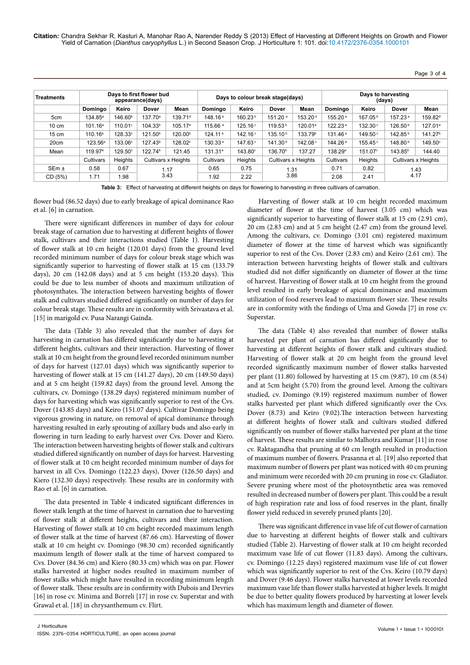**Citation:** Chandra Sekhar R, Kasturi A, Manohar Rao A, Narender Reddy S (2013) Effect of Harvesting at Different Heights on Growth and Flower Yield of Carnation (*Dianthus caryophyllus* L.) in Second Season Crop. J Horticulture 1: 101. doi:10.4172/2376-0354.1000101

Page 3 of 4

| <b>Treatments</b> |                     |                     | Days to first flower bud<br>appearance(days) |                     |                     | Days to colour break stage(days) |                     |                     | Days to harvesting<br>(days) |                     |                     |                     |  |
|-------------------|---------------------|---------------------|----------------------------------------------|---------------------|---------------------|----------------------------------|---------------------|---------------------|------------------------------|---------------------|---------------------|---------------------|--|
|                   | Domingo             | Keiro               | <b>Dover</b>                                 | Mean                | Domingo             | Keiro                            | <b>Dover</b>        | <b>Mean</b>         | Domingo                      | Keiro               | <b>Dover</b>        | Mean                |  |
| 5cm               | $134.85^{\circ}$    | 146.60 <sup>b</sup> | 137.70 <sup>a</sup>                          | 139.71 <sup>d</sup> | 148.16 <sup>a</sup> | 160.23 <sup>b</sup>              | 151.20 <sup>a</sup> | 153.20 <sup>d</sup> | 155.20 <sup>a</sup>          | 167.05 <sup>b</sup> | 157.23 <sup>a</sup> | 159.82 <sup>d</sup> |  |
| $10 \text{ cm}$   | 101.16 <sup>a</sup> | 110.01°             | 104.33 <sup>b</sup><br>105.17 <sup>a</sup>   |                     | 115.66 <sup>a</sup> | 125.16°                          | 119.53 <sup>b</sup> | 120.01 <sup>a</sup> | 122.23 <sup>a</sup>          | 132.30 <sup>c</sup> | 126.50 <sup>b</sup> | 127.01 <sup>a</sup> |  |
| $15 \text{ cm}$   | 110.16 <sup>a</sup> | 128.33°             | 121.50 <sup>b</sup><br>120.00 <sup>b</sup>   |                     | 124.11 <sup>a</sup> | 142.16°                          | 135.10 <sup>b</sup> | 133.79 <sup>b</sup> | $131.46^{\text{a}}$          | 149.50 <sup>c</sup> | 142.85 <sup>b</sup> | 141.27 <sup>b</sup> |  |
| 20cm              | 123.56 <sup>a</sup> | 133.06°             | 127.43 <sup>b</sup><br>128.02°               |                     | 130.33 <sup>a</sup> | 147.63 <sup>c</sup>              | 141.30 <sup>b</sup> | 142.08 <sup>c</sup> | 144.26 <sup>a</sup>          | 155.45 <sup>c</sup> | 148.80 <sup>b</sup> | 149.50°             |  |
| Mean              | 119.97 <sup>a</sup> | 129.50°             | 122.74 <sup>b</sup>                          | 121.45              | 131.31 <sup>a</sup> | 143.80°                          | 136.70 <sup>b</sup> | 137.27              | 138.29 <sup>a</sup>          | 151.07°             | 143.85 <sup>b</sup> | 144.40              |  |
|                   | Cultivars           | <b>Heights</b>      | Cultivars x Heights                          |                     | Cultivars           | <b>Heights</b>                   | Cultivars x Heights |                     | Cultivars                    | <b>Heights</b>      |                     | Cultivars x Heights |  |
| $SEm \pm$         | 0.58                | 0.67                | 1.17<br>3.43                                 |                     | 0.65                | 0.75                             | 1.31<br>3.86        |                     | 0.71                         | 0.82                |                     | 1.43                |  |
| CD (5%)           | 1.71                | 1.98                |                                              |                     | 1.92                | 2.22                             |                     |                     | 2.08                         | 2.41                | 4.17                |                     |  |

**Table 3:** Effect of harvesting at different heights on days for flowering to harvesting in three cultivars of carnation.

flower bud (86.52 days) due to early breakage of apical dominance Rao et al. [6] in carnation.

There were significant differences in number of days for colour break stage of carnation due to harvesting at different heights of flower stalk, cultivars and their interactions studied (Table 1). Harvesting of flower stalk at 10 cm height (120.01 days) from the ground level recorded minimum number of days for colour break stage which was significantly superior to harvesting of flower stalk at 15 cm (133.79 days), 20 cm (142.08 days) and at 5 cm height (153.20 days). This could be due to less number of shoots and maximum utilization of photosynthates. The interaction between harvesting heights of flower stalk and cultivars studied differed significantly on number of days for colour break stage. These results are in conformity with Srivastava et al. [15] in marigold cv. Pusa Narangi Gainda.

The data (Table 3) also revealed that the number of days for harvesting in carnation has differed significantly due to harvesting at different heights, cultivars and their interaction. Harvesting of flower stalk at 10 cm height from the ground level recorded minimum number of days for harvest (127.01 days) which was significantly superior to harvesting of flower stalk at 15 cm (141.27 days), 20 cm (149.50 days) and at 5 cm height (159.82 days) from the ground level. Among the cultivars, cv. Domingo (138.29 days) registered minimum number of days for harvesting which was significantly superior to rest of the Cvs. Dover (143.85 days) and Keiro (151.07 days). Cultivar Domingo being vigorous growing in nature, on removal of apical dominance through harvesting resulted in early sprouting of axillary buds and also early in flowering in turn leading to early harvest over Cvs. Dover and Kiero. The interaction between harvesting heights of flower stalk and cultivars studied differed significantly on number of days for harvest. Harvesting of flower stalk at 10 cm height recorded minimum number of days for harvest in all Cvs. Domingo (122.23 days), Dover (126.50 days) and Kiero (132.30 days) respectively. These results are in conformity with Rao et al. [6] in carnation.

The data presented in Table 4 indicated significant differences in flower stalk length at the time of harvest in carnation due to harvesting of flower stalk at different heights, cultivars and their interaction. Harvesting of flower stalk at 10 cm height recorded maximum length of flower stalk at the time of harvest (87.66 cm). Harvesting of flower stalk at 10 cm height cv. Domingo (98.30 cm) recorded significantly maximum length of flower stalk at the time of harvest compared to Cvs. Dover (84.36 cm) and Kiero (80.33 cm) which was on par. Flower stalks harvested at higher nodes resulted in maximum number of flower stalks which might have resulted in recording minimum length of flower stalk. These results are in confirmity with Dubois and Devries [16] in rose cv. Minima and Borreli [17] in rose cv. Superstar and with Grawal et al. [18] in chrysanthemum cv. Flirt.

Harvesting of flower stalk at 10 cm height recorded maximum diameter of flower at the time of harvest (3.05 cm) which was significantly superior to harvesting of flower stalk at 15 cm (2.91 cm), 20 cm (2.83 cm) and at 5 cm height (2.47 cm) from the ground level. Among the cultivars, cv. Domingo (3.01 cm) registered maximum diameter of flower at the time of harvest which was significantly superior to rest of the Cvs. Dover (2.83 cm) and Keiro (2.61 cm). The interaction between harvesting heights of flower stalk and cultivars studied did not differ significantly on diameter of flower at the time of harvest. Harvesting of flower stalk at 10 cm height from the ground level resulted in early breakage of apical dominance and maximum utilization of food reserves lead to maximum flower size. These results are in conformity with the findings of Uma and Gowda [7] in rose cv. Superstar.

The data (Table 4) also revealed that number of flower stalks harvested per plant of carnation has differed significantly due to harvesting at different heights of flower stalk and cultivars studied. Harvesting of flower stalk at 20 cm height from the ground level recorded significantly maximum number of flower stalks harvested per plant (11.80) followed by harvesting at 15 cm (9.87), 10 cm (8.54) and at 5cm height (5.70) from the ground level. Among the cultivars studied, cv. Domingo (9.19) registered maximum number of flower stalks harvested per plant which differed significantly over the Cvs. Dover (8.73) and Keiro (9.02).The interaction between harvesting at different heights of flower stalk and cultivars studied differed significantly on number of flower stalks harvested per plant at the time of harvest. These results are similar to Malhotra and Kumar [11] in rose cv. Raktagandha that pruning at 60 cm length resulted in production of maximum number of flowers. Prasanna et al*.* [19] also reported that maximum number of flowers per plant was noticed with 40 cm pruning and minimum were recorded with 20 cm pruning in rose cv. Gladiator. Severe pruning where most of the photosynthetic area was removed resulted in decreased number of flowers per plant. This could be a result of high respiration rate and loss of food reserves in the plant, finally flower yield reduced in severely pruned plants [20].

There was significant difference in vase life of cut flower of carnation due to harvesting at different heights of flower stalk and cultivars studied (Table 2). Harvesting of flower stalk at 10 cm height recorded maximum vase life of cut flower (11.83 days). Among the cultivars, cv. Domingo (12.25 days) registered maximum vase life of cut flower which was significantly superior to rest of the Cvs. Keiro (10.79 days) and Dover (9.46 days). Flower stalks harvested at lower levels recorded maximum vase life than flower stalks harvested at higher levels. It might be due to better quality flowers produced by harvesting at lower levels which has maximum length and diameter of flower.